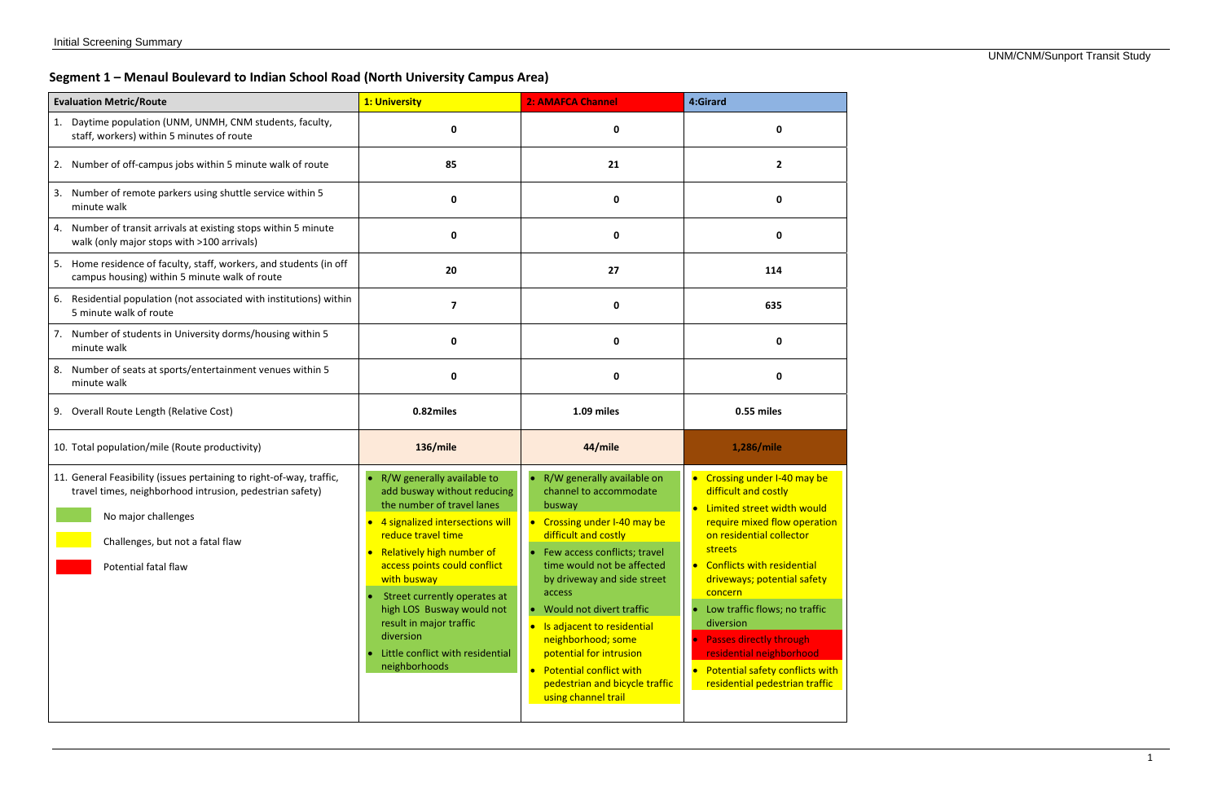# **Segment 1 – Menaul Boulevard to Indian School Road (North University Campus Area)**

| <b>Evaluation Metric/Route</b>                                                                                                                                                                                      | 1: University                                                                                                                                                                                                                                                                                                                                                                                                    | 2: AMAFCA Channel                                                                                                                                                                                                                                                                                                                                                                                                                              | 4:Girard                                                                                                                                                                                                                                                                                                                                                                                                                            |  |
|---------------------------------------------------------------------------------------------------------------------------------------------------------------------------------------------------------------------|------------------------------------------------------------------------------------------------------------------------------------------------------------------------------------------------------------------------------------------------------------------------------------------------------------------------------------------------------------------------------------------------------------------|------------------------------------------------------------------------------------------------------------------------------------------------------------------------------------------------------------------------------------------------------------------------------------------------------------------------------------------------------------------------------------------------------------------------------------------------|-------------------------------------------------------------------------------------------------------------------------------------------------------------------------------------------------------------------------------------------------------------------------------------------------------------------------------------------------------------------------------------------------------------------------------------|--|
| 1. Daytime population (UNM, UNMH, CNM students, faculty,<br>staff, workers) within 5 minutes of route                                                                                                               | 0                                                                                                                                                                                                                                                                                                                                                                                                                | 0                                                                                                                                                                                                                                                                                                                                                                                                                                              | 0                                                                                                                                                                                                                                                                                                                                                                                                                                   |  |
| 2. Number of off-campus jobs within 5 minute walk of route                                                                                                                                                          | 85                                                                                                                                                                                                                                                                                                                                                                                                               | 21                                                                                                                                                                                                                                                                                                                                                                                                                                             | $\overline{2}$                                                                                                                                                                                                                                                                                                                                                                                                                      |  |
| 3. Number of remote parkers using shuttle service within 5<br>minute walk                                                                                                                                           | 0                                                                                                                                                                                                                                                                                                                                                                                                                | 0                                                                                                                                                                                                                                                                                                                                                                                                                                              | 0                                                                                                                                                                                                                                                                                                                                                                                                                                   |  |
| 4. Number of transit arrivals at existing stops within 5 minute<br>walk (only major stops with >100 arrivals)                                                                                                       | 0                                                                                                                                                                                                                                                                                                                                                                                                                | 0                                                                                                                                                                                                                                                                                                                                                                                                                                              | 0                                                                                                                                                                                                                                                                                                                                                                                                                                   |  |
| 5. Home residence of faculty, staff, workers, and students (in off<br>campus housing) within 5 minute walk of route                                                                                                 | 20                                                                                                                                                                                                                                                                                                                                                                                                               | 27                                                                                                                                                                                                                                                                                                                                                                                                                                             | 114                                                                                                                                                                                                                                                                                                                                                                                                                                 |  |
| 6. Residential population (not associated with institutions) within<br>5 minute walk of route                                                                                                                       | $\overline{\mathbf{z}}$                                                                                                                                                                                                                                                                                                                                                                                          | 0                                                                                                                                                                                                                                                                                                                                                                                                                                              | 635                                                                                                                                                                                                                                                                                                                                                                                                                                 |  |
| 7. Number of students in University dorms/housing within 5<br>minute walk                                                                                                                                           | 0                                                                                                                                                                                                                                                                                                                                                                                                                | 0                                                                                                                                                                                                                                                                                                                                                                                                                                              | 0                                                                                                                                                                                                                                                                                                                                                                                                                                   |  |
| 8. Number of seats at sports/entertainment venues within 5<br>minute walk                                                                                                                                           | 0                                                                                                                                                                                                                                                                                                                                                                                                                | 0                                                                                                                                                                                                                                                                                                                                                                                                                                              | 0                                                                                                                                                                                                                                                                                                                                                                                                                                   |  |
| 9. Overall Route Length (Relative Cost)                                                                                                                                                                             | 0.82miles                                                                                                                                                                                                                                                                                                                                                                                                        | 1.09 miles                                                                                                                                                                                                                                                                                                                                                                                                                                     | 0.55 miles                                                                                                                                                                                                                                                                                                                                                                                                                          |  |
| 10. Total population/mile (Route productivity)                                                                                                                                                                      | <b>136/mile</b>                                                                                                                                                                                                                                                                                                                                                                                                  | 44/mile                                                                                                                                                                                                                                                                                                                                                                                                                                        | 1,286/mile                                                                                                                                                                                                                                                                                                                                                                                                                          |  |
| 11. General Feasibility (issues pertaining to right-of-way, traffic,<br>travel times, neighborhood intrusion, pedestrian safety)<br>No major challenges<br>Challenges, but not a fatal flaw<br>Potential fatal flaw | R/W generally available to<br>add busway without reducing<br>the number of travel lanes<br>4 signalized intersections will<br>$\bullet$<br>reduce travel time<br>Relatively high number of<br>$\bullet$<br>access points could conflict<br>with busway<br>Street currently operates at<br>high LOS Busway would not<br>result in major traffic<br>diversion<br>Little conflict with residential<br>neighborhoods | R/W generally available on<br>channel to accommodate<br>busway<br>Crossing under I-40 may be<br>difficult and costly<br>Few access conflicts; travel<br>time would not be affected<br>by driveway and side street<br>access<br>Would not divert traffic<br>Is adjacent to residential<br>$\bullet$<br>neighborhood; some<br>potential for intrusion<br><b>Potential conflict with</b><br>pedestrian and bicycle traffic<br>using channel trail | • Crossing under I-40 may be<br>difficult and costly<br>• Limited street width would<br>require mixed flow operation<br>on residential collector<br>streets<br>• Conflicts with residential<br>driveways; potential safety<br>concern<br>Low traffic flows; no traffic<br>diversion<br><b>Passes directly through</b><br>residential neighborhood<br>Potential safety conflicts with<br>$\bullet$<br>residential pedestrian traffic |  |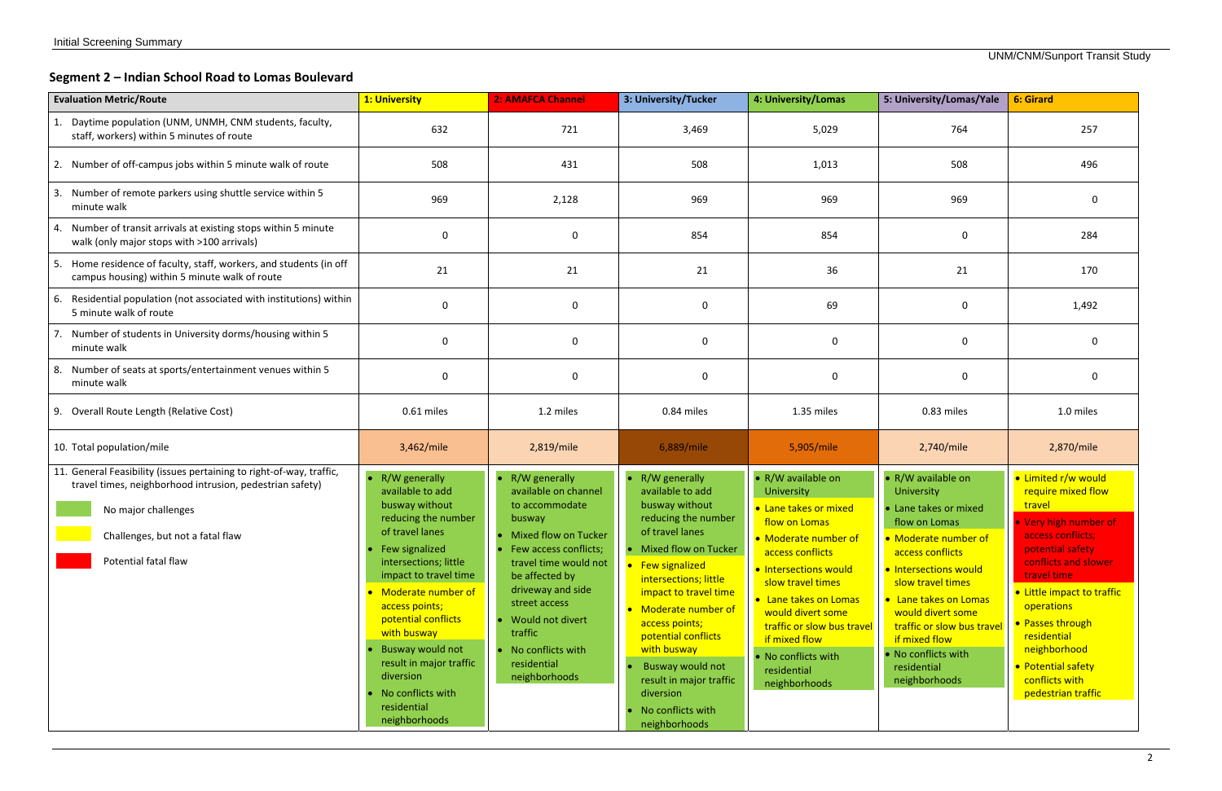#### **Segment 2 – Indian School Road to Lomas Boulevard**

| <b>Evaluation Metric/Route</b>                                                                                                                                                                                      | 1: University                                                                                                                                                                                                                                                                                                                                                      | 2: AMAFCA Channel                                                                                                                                                                                                                                                                                       | 3: University/Tucker                                                                                                                                                                                                                                                                                                                                                          | 4: University/Lomas                                                                                                                                                                                                                                                                                                      | 5: University/Lomas/Yale                                                                                                                                                                                                                                                                                                 | <b>6: Girard</b>                                                                                                                                                                                                                                                                                                          |
|---------------------------------------------------------------------------------------------------------------------------------------------------------------------------------------------------------------------|--------------------------------------------------------------------------------------------------------------------------------------------------------------------------------------------------------------------------------------------------------------------------------------------------------------------------------------------------------------------|---------------------------------------------------------------------------------------------------------------------------------------------------------------------------------------------------------------------------------------------------------------------------------------------------------|-------------------------------------------------------------------------------------------------------------------------------------------------------------------------------------------------------------------------------------------------------------------------------------------------------------------------------------------------------------------------------|--------------------------------------------------------------------------------------------------------------------------------------------------------------------------------------------------------------------------------------------------------------------------------------------------------------------------|--------------------------------------------------------------------------------------------------------------------------------------------------------------------------------------------------------------------------------------------------------------------------------------------------------------------------|---------------------------------------------------------------------------------------------------------------------------------------------------------------------------------------------------------------------------------------------------------------------------------------------------------------------------|
| Daytime population (UNM, UNMH, CNM students, faculty,<br>staff, workers) within 5 minutes of route                                                                                                                  | 632                                                                                                                                                                                                                                                                                                                                                                | 721                                                                                                                                                                                                                                                                                                     | 3,469                                                                                                                                                                                                                                                                                                                                                                         | 5,029                                                                                                                                                                                                                                                                                                                    | 764                                                                                                                                                                                                                                                                                                                      | 257                                                                                                                                                                                                                                                                                                                       |
| 2. Number of off-campus jobs within 5 minute walk of route                                                                                                                                                          | 508                                                                                                                                                                                                                                                                                                                                                                | 431                                                                                                                                                                                                                                                                                                     | 508                                                                                                                                                                                                                                                                                                                                                                           | 1,013                                                                                                                                                                                                                                                                                                                    | 508                                                                                                                                                                                                                                                                                                                      | 496                                                                                                                                                                                                                                                                                                                       |
| Number of remote parkers using shuttle service within 5<br>minute walk                                                                                                                                              | 969                                                                                                                                                                                                                                                                                                                                                                | 2,128                                                                                                                                                                                                                                                                                                   | 969                                                                                                                                                                                                                                                                                                                                                                           | 969                                                                                                                                                                                                                                                                                                                      | 969                                                                                                                                                                                                                                                                                                                      | $\Omega$                                                                                                                                                                                                                                                                                                                  |
| Number of transit arrivals at existing stops within 5 minute<br>walk (only major stops with >100 arrivals)                                                                                                          | $\mathbf{0}$                                                                                                                                                                                                                                                                                                                                                       | $\mathbf 0$                                                                                                                                                                                                                                                                                             | 854                                                                                                                                                                                                                                                                                                                                                                           | 854                                                                                                                                                                                                                                                                                                                      | $\Omega$                                                                                                                                                                                                                                                                                                                 | 284                                                                                                                                                                                                                                                                                                                       |
| Home residence of faculty, staff, workers, and students (in off<br>campus housing) within 5 minute walk of route                                                                                                    | 21                                                                                                                                                                                                                                                                                                                                                                 | 21                                                                                                                                                                                                                                                                                                      | 21                                                                                                                                                                                                                                                                                                                                                                            | 36                                                                                                                                                                                                                                                                                                                       | 21                                                                                                                                                                                                                                                                                                                       | 170                                                                                                                                                                                                                                                                                                                       |
| 6. Residential population (not associated with institutions) within<br>5 minute walk of route                                                                                                                       | 0                                                                                                                                                                                                                                                                                                                                                                  | $\mathbf 0$                                                                                                                                                                                                                                                                                             | $\mathbf 0$                                                                                                                                                                                                                                                                                                                                                                   | 69                                                                                                                                                                                                                                                                                                                       | $\Omega$                                                                                                                                                                                                                                                                                                                 | 1,492                                                                                                                                                                                                                                                                                                                     |
| Number of students in University dorms/housing within 5<br>minute walk                                                                                                                                              | 0                                                                                                                                                                                                                                                                                                                                                                  | $\mathbf 0$                                                                                                                                                                                                                                                                                             | $\mathbf 0$                                                                                                                                                                                                                                                                                                                                                                   | $\Omega$                                                                                                                                                                                                                                                                                                                 | 0                                                                                                                                                                                                                                                                                                                        | 0                                                                                                                                                                                                                                                                                                                         |
| 8. Number of seats at sports/entertainment venues within 5<br>minute walk                                                                                                                                           | $\mathbf 0$                                                                                                                                                                                                                                                                                                                                                        | $\bf{0}$                                                                                                                                                                                                                                                                                                | $\mathbf 0$                                                                                                                                                                                                                                                                                                                                                                   | 0                                                                                                                                                                                                                                                                                                                        | 0                                                                                                                                                                                                                                                                                                                        | 0                                                                                                                                                                                                                                                                                                                         |
| 9. Overall Route Length (Relative Cost)                                                                                                                                                                             | 0.61 miles                                                                                                                                                                                                                                                                                                                                                         | 1.2 miles                                                                                                                                                                                                                                                                                               | 0.84 miles                                                                                                                                                                                                                                                                                                                                                                    | 1.35 miles                                                                                                                                                                                                                                                                                                               | 0.83 miles                                                                                                                                                                                                                                                                                                               | 1.0 miles                                                                                                                                                                                                                                                                                                                 |
| 10. Total population/mile                                                                                                                                                                                           | 3,462/mile                                                                                                                                                                                                                                                                                                                                                         | 2,819/mile                                                                                                                                                                                                                                                                                              | 6,889/mile                                                                                                                                                                                                                                                                                                                                                                    | 5,905/mile                                                                                                                                                                                                                                                                                                               | 2,740/mile                                                                                                                                                                                                                                                                                                               | 2,870/mile                                                                                                                                                                                                                                                                                                                |
| 11. General Feasibility (issues pertaining to right-of-way, traffic,<br>travel times, neighborhood intrusion, pedestrian safety)<br>No major challenges<br>Challenges, but not a fatal flaw<br>Potential fatal flaw | R/W generally<br>available to add<br>busway without<br>reducing the number<br>of travel lanes<br>• Few signalized<br>intersections; little<br>impact to travel time<br>Moderate number of<br>access points;<br>potential conflicts<br>with busway<br>Busway would not<br>result in major traffic<br>diversion<br>No conflicts with<br>residential<br>neighborhoods | $\bullet$ R/W generally<br>available on channel<br>to accommodate<br>busway<br>Mixed flow on Tucker<br>• Few access conflicts;<br>travel time would not<br>be affected by<br>driveway and side<br>street access<br>• Would not divert<br>traffic<br>• No conflicts with<br>residential<br>neighborhoods | R/W generally<br>available to add<br>busway without<br>reducing the number<br>of travel lanes<br>• Mixed flow on Tucker<br>• Few signalized<br>intersections; little<br>impact to travel time<br>Moderate number of<br>access points;<br>potential conflicts<br>with busway<br>Busway would not<br>result in major traffic<br>diversion<br>No conflicts with<br>neighborhoods | • R/W available on<br>University<br>• Lane takes or mixed<br>flow on Lomas<br>• Moderate number of<br>access conflicts<br>. Intersections would<br>slow travel times<br>• Lane takes on Lomas<br>would divert some<br>traffic or slow bus travel<br>if mixed flow<br>• No conflicts with<br>residential<br>neighborhoods | • R/W available on<br>University<br>• Lane takes or mixed<br>flow on Lomas<br>• Moderate number of<br>access conflicts<br>· Intersections would<br>slow travel times<br>• Lane takes on Lomas<br>would divert some<br>traffic or slow bus travel<br>if mixed flow<br>• No conflicts with<br>residential<br>neighborhoods | • Limited r/w would<br>require mixed flow<br>travel<br>• Very high number of<br>access conflicts:<br>potential safety<br>conflicts and slower<br>travel time<br>• Little impact to traffic<br>operations<br>• Passes through<br>residential<br>neighborhood<br>• Potential safety<br>conflicts with<br>pedestrian traffic |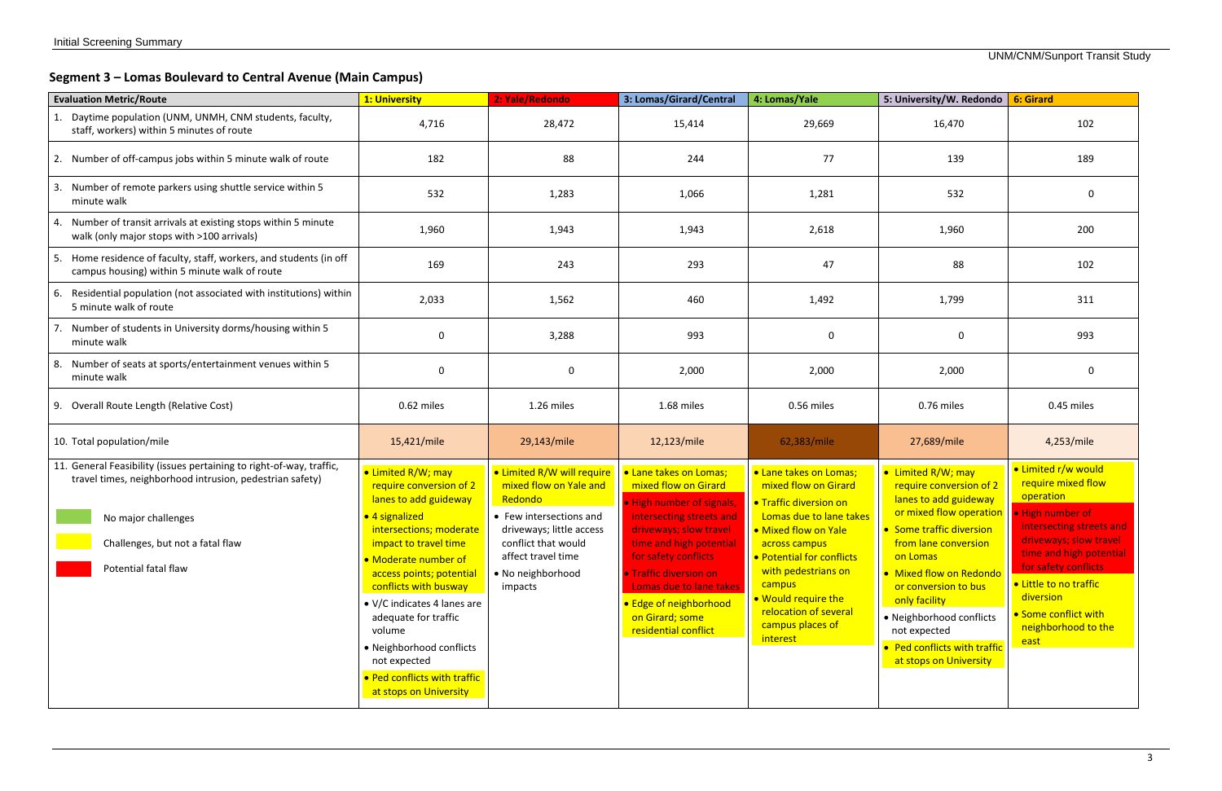# **Segment 3 – Lomas Boulevard to Central Avenue (Main Campus)**

| <b>Evaluation Metric/Route</b>                                                                                                                                                                                      | 1: University                                                                                                                                                                                                                                                                                                                                                                                    | 2: Yale/Redondo                                                                                                                                                                                     | 3: Lomas/Girard/Central                                                                                                                                                                                                                                                                                        | 4: Lomas/Yale                                                                                                                                                                                                                                                                                            | 5: University/W. Redondo 6: Girard                                                                                                                                                                                                                                                                                                                             |                                                                                                                                                                                                                                                               |
|---------------------------------------------------------------------------------------------------------------------------------------------------------------------------------------------------------------------|--------------------------------------------------------------------------------------------------------------------------------------------------------------------------------------------------------------------------------------------------------------------------------------------------------------------------------------------------------------------------------------------------|-----------------------------------------------------------------------------------------------------------------------------------------------------------------------------------------------------|----------------------------------------------------------------------------------------------------------------------------------------------------------------------------------------------------------------------------------------------------------------------------------------------------------------|----------------------------------------------------------------------------------------------------------------------------------------------------------------------------------------------------------------------------------------------------------------------------------------------------------|----------------------------------------------------------------------------------------------------------------------------------------------------------------------------------------------------------------------------------------------------------------------------------------------------------------------------------------------------------------|---------------------------------------------------------------------------------------------------------------------------------------------------------------------------------------------------------------------------------------------------------------|
| 1. Daytime population (UNM, UNMH, CNM students, faculty,<br>staff, workers) within 5 minutes of route                                                                                                               | 4,716                                                                                                                                                                                                                                                                                                                                                                                            | 28,472                                                                                                                                                                                              | 15,414                                                                                                                                                                                                                                                                                                         | 29,669<br>16,470                                                                                                                                                                                                                                                                                         |                                                                                                                                                                                                                                                                                                                                                                | 102                                                                                                                                                                                                                                                           |
| 2. Number of off-campus jobs within 5 minute walk of route                                                                                                                                                          | 182                                                                                                                                                                                                                                                                                                                                                                                              | 88                                                                                                                                                                                                  | 244                                                                                                                                                                                                                                                                                                            | 77                                                                                                                                                                                                                                                                                                       | 139                                                                                                                                                                                                                                                                                                                                                            | 189                                                                                                                                                                                                                                                           |
| 3. Number of remote parkers using shuttle service within 5<br>minute walk                                                                                                                                           | 532                                                                                                                                                                                                                                                                                                                                                                                              | 1,283                                                                                                                                                                                               | 1,066                                                                                                                                                                                                                                                                                                          | 1,281                                                                                                                                                                                                                                                                                                    | 532                                                                                                                                                                                                                                                                                                                                                            | 0                                                                                                                                                                                                                                                             |
| 4. Number of transit arrivals at existing stops within 5 minute<br>walk (only major stops with >100 arrivals)                                                                                                       | 1,960                                                                                                                                                                                                                                                                                                                                                                                            | 1,943                                                                                                                                                                                               | 1,943                                                                                                                                                                                                                                                                                                          | 2,618                                                                                                                                                                                                                                                                                                    | 1,960                                                                                                                                                                                                                                                                                                                                                          | 200                                                                                                                                                                                                                                                           |
| 5. Home residence of faculty, staff, workers, and students (in off<br>campus housing) within 5 minute walk of route                                                                                                 | 169                                                                                                                                                                                                                                                                                                                                                                                              | 243                                                                                                                                                                                                 | 293                                                                                                                                                                                                                                                                                                            | 47                                                                                                                                                                                                                                                                                                       | 88                                                                                                                                                                                                                                                                                                                                                             | 102                                                                                                                                                                                                                                                           |
| 6. Residential population (not associated with institutions) within<br>5 minute walk of route                                                                                                                       | 2,033                                                                                                                                                                                                                                                                                                                                                                                            | 1,562                                                                                                                                                                                               | 460                                                                                                                                                                                                                                                                                                            | 1,492                                                                                                                                                                                                                                                                                                    | 1,799                                                                                                                                                                                                                                                                                                                                                          | 311                                                                                                                                                                                                                                                           |
| 7. Number of students in University dorms/housing within 5<br>minute walk                                                                                                                                           | $\overline{0}$                                                                                                                                                                                                                                                                                                                                                                                   | 3,288                                                                                                                                                                                               | 993                                                                                                                                                                                                                                                                                                            | $\mathbf 0$<br>$\mathbf 0$                                                                                                                                                                                                                                                                               |                                                                                                                                                                                                                                                                                                                                                                | 993                                                                                                                                                                                                                                                           |
| 8. Number of seats at sports/entertainment venues within 5<br>minute walk                                                                                                                                           | $\Omega$                                                                                                                                                                                                                                                                                                                                                                                         | 0                                                                                                                                                                                                   | 2,000                                                                                                                                                                                                                                                                                                          | 2,000                                                                                                                                                                                                                                                                                                    | 2,000                                                                                                                                                                                                                                                                                                                                                          | 0                                                                                                                                                                                                                                                             |
| 9. Overall Route Length (Relative Cost)                                                                                                                                                                             | 0.62 miles                                                                                                                                                                                                                                                                                                                                                                                       | 1.26 miles                                                                                                                                                                                          | 1.68 miles                                                                                                                                                                                                                                                                                                     | 0.56 miles                                                                                                                                                                                                                                                                                               | 0.76 miles                                                                                                                                                                                                                                                                                                                                                     | 0.45 miles                                                                                                                                                                                                                                                    |
| 10. Total population/mile                                                                                                                                                                                           | 15,421/mile                                                                                                                                                                                                                                                                                                                                                                                      | 29,143/mile                                                                                                                                                                                         | 12,123/mile                                                                                                                                                                                                                                                                                                    | 62,383/mile                                                                                                                                                                                                                                                                                              | 27,689/mile                                                                                                                                                                                                                                                                                                                                                    | 4,253/mile                                                                                                                                                                                                                                                    |
| 11. General Feasibility (issues pertaining to right-of-way, traffic,<br>travel times, neighborhood intrusion, pedestrian safety)<br>No major challenges<br>Challenges, but not a fatal flaw<br>Potential fatal flaw | • Limited R/W; may<br>require conversion of 2<br>lanes to add guideway<br>• 4 signalized<br>intersections; moderate<br>impact to travel time<br>• Moderate number of<br>access points; potential<br>conflicts with busway<br>• V/C indicates 4 lanes are<br>adequate for traffic<br>volume<br>• Neighborhood conflicts<br>not expected<br>• Ped conflicts with traffic<br>at stops on University | • Limited R/W will require<br>mixed flow on Yale and<br>Redondo<br>• Few intersections and<br>driveways; little access<br>conflict that would<br>affect travel time<br>• No neighborhood<br>impacts | • Lane takes on Lomas;<br>mixed flow on Girard<br>. High number of signals,<br>intersecting streets and<br>driveways; slow travel<br>time and high potential<br>for safety conflicts<br>• Traffic diversion on<br>Lomas due to lane takes<br>• Edge of neighborhood<br>on Girard; some<br>residential conflict | <b>.</b> Lane takes on Lomas;<br>mixed flow on Girard<br><b>• Traffic diversion on</b><br>Lomas due to lane takes<br>• Mixed flow on Yale<br>across campus<br>• Potential for conflicts<br>with pedestrians on<br>campus<br>. Would require the<br>relocation of several<br>campus places of<br>interest | • Limited R/W; may<br>require conversion of 2<br>lanes to add guideway<br>or mixed flow operation   • High number of<br>• Some traffic diversion<br>from lane conversion<br>on Lomas<br>• Mixed flow on Redondo<br>or conversion to bus<br>only facility<br>• Neighborhood conflicts<br>not expected<br>• Ped conflicts with traffic<br>at stops on University | · Limited r/w would<br>require mixed flow<br>operation<br>intersecting streets and<br>driveways; slow travel<br>time and high potential<br>for safety conflicts<br>• Little to no traffic<br>diversion<br>• Some conflict with<br>neighborhood to the<br>east |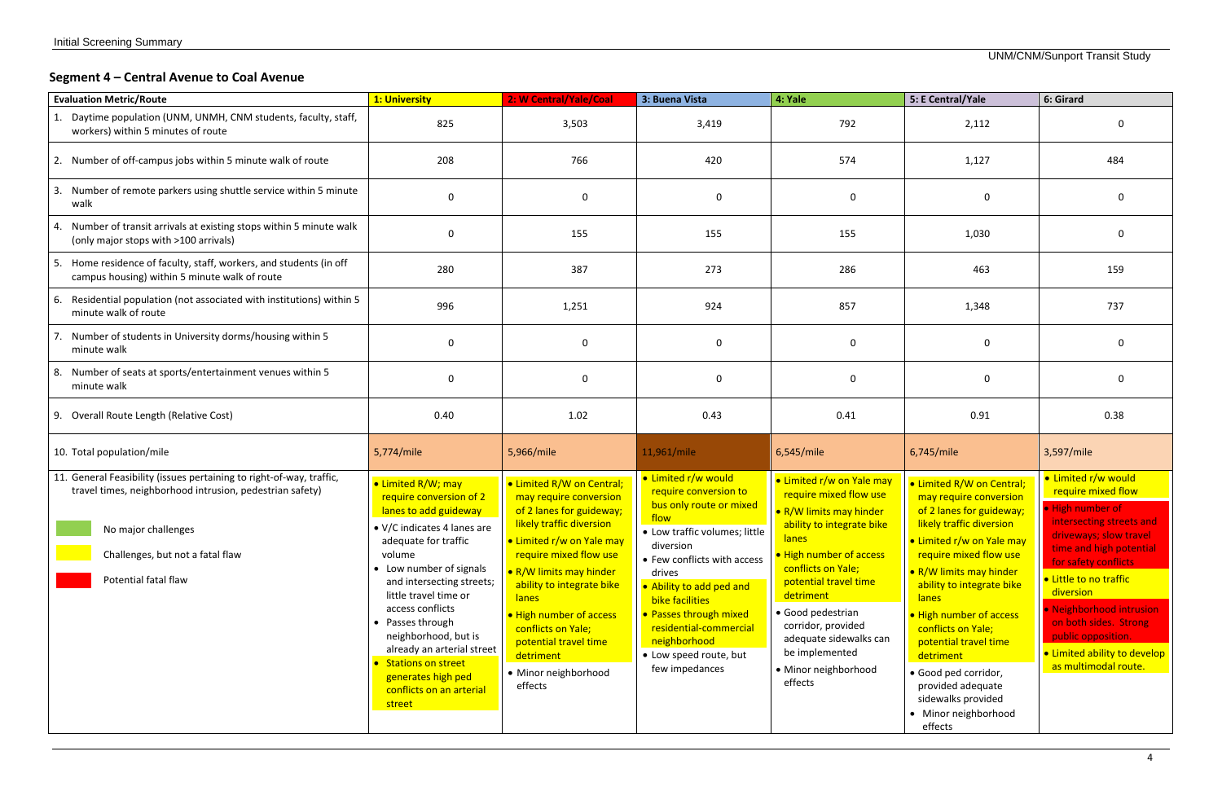#### **Segment 4 – Central Avenue to Coal Avenue**

| <b>Evaluation Metric/Route</b>                                                                                                                                                                                      | 1: University                                                                                                                                                                                                                                                                                                                                                                                              | 2: W Central/Yale/Coal                                                                                                                                                                                                                                                                                                                                               | 3: Buena Vista<br>4: Yale                                                                                                                                                                                                                                                                                                             |                                                                                                                                                                                                                                                                                                                                              | 5: E Central/Yale                                                                                                                                                                                                                                                                                                                                                                                                                       | 6: Girard                                                                                                                                                                                                                                                                                                                                        |
|---------------------------------------------------------------------------------------------------------------------------------------------------------------------------------------------------------------------|------------------------------------------------------------------------------------------------------------------------------------------------------------------------------------------------------------------------------------------------------------------------------------------------------------------------------------------------------------------------------------------------------------|----------------------------------------------------------------------------------------------------------------------------------------------------------------------------------------------------------------------------------------------------------------------------------------------------------------------------------------------------------------------|---------------------------------------------------------------------------------------------------------------------------------------------------------------------------------------------------------------------------------------------------------------------------------------------------------------------------------------|----------------------------------------------------------------------------------------------------------------------------------------------------------------------------------------------------------------------------------------------------------------------------------------------------------------------------------------------|-----------------------------------------------------------------------------------------------------------------------------------------------------------------------------------------------------------------------------------------------------------------------------------------------------------------------------------------------------------------------------------------------------------------------------------------|--------------------------------------------------------------------------------------------------------------------------------------------------------------------------------------------------------------------------------------------------------------------------------------------------------------------------------------------------|
| Daytime population (UNM, UNMH, CNM students, faculty, staff,<br>workers) within 5 minutes of route                                                                                                                  | 825                                                                                                                                                                                                                                                                                                                                                                                                        | 3,503                                                                                                                                                                                                                                                                                                                                                                | 3,419                                                                                                                                                                                                                                                                                                                                 | 792                                                                                                                                                                                                                                                                                                                                          | 2,112                                                                                                                                                                                                                                                                                                                                                                                                                                   |                                                                                                                                                                                                                                                                                                                                                  |
| 2. Number of off-campus jobs within 5 minute walk of route                                                                                                                                                          | 208                                                                                                                                                                                                                                                                                                                                                                                                        | 766                                                                                                                                                                                                                                                                                                                                                                  | 420                                                                                                                                                                                                                                                                                                                                   | 574                                                                                                                                                                                                                                                                                                                                          | 1,127                                                                                                                                                                                                                                                                                                                                                                                                                                   | 484                                                                                                                                                                                                                                                                                                                                              |
| 3. Number of remote parkers using shuttle service within 5 minute<br>walk                                                                                                                                           | $\Omega$                                                                                                                                                                                                                                                                                                                                                                                                   | $\mathbf 0$                                                                                                                                                                                                                                                                                                                                                          | $\mathbf 0$                                                                                                                                                                                                                                                                                                                           | $\mathbf 0$                                                                                                                                                                                                                                                                                                                                  | 0                                                                                                                                                                                                                                                                                                                                                                                                                                       |                                                                                                                                                                                                                                                                                                                                                  |
| Number of transit arrivals at existing stops within 5 minute walk<br>(only major stops with >100 arrivals)                                                                                                          | $\Omega$                                                                                                                                                                                                                                                                                                                                                                                                   | 155                                                                                                                                                                                                                                                                                                                                                                  | 155                                                                                                                                                                                                                                                                                                                                   | 155                                                                                                                                                                                                                                                                                                                                          | 1,030                                                                                                                                                                                                                                                                                                                                                                                                                                   | $\Omega$                                                                                                                                                                                                                                                                                                                                         |
| Home residence of faculty, staff, workers, and students (in off<br>5.<br>campus housing) within 5 minute walk of route                                                                                              | 280                                                                                                                                                                                                                                                                                                                                                                                                        | 387                                                                                                                                                                                                                                                                                                                                                                  | 273                                                                                                                                                                                                                                                                                                                                   | 286                                                                                                                                                                                                                                                                                                                                          | 463                                                                                                                                                                                                                                                                                                                                                                                                                                     | 159                                                                                                                                                                                                                                                                                                                                              |
| Residential population (not associated with institutions) within 5<br>6.<br>minute walk of route                                                                                                                    | 996                                                                                                                                                                                                                                                                                                                                                                                                        | 1,251                                                                                                                                                                                                                                                                                                                                                                | 924                                                                                                                                                                                                                                                                                                                                   | 857                                                                                                                                                                                                                                                                                                                                          | 1,348                                                                                                                                                                                                                                                                                                                                                                                                                                   | 737                                                                                                                                                                                                                                                                                                                                              |
| Number of students in University dorms/housing within 5<br>minute walk                                                                                                                                              | $\Omega$                                                                                                                                                                                                                                                                                                                                                                                                   | $\mathbf 0$                                                                                                                                                                                                                                                                                                                                                          | $\mathbf 0$                                                                                                                                                                                                                                                                                                                           | 0                                                                                                                                                                                                                                                                                                                                            | 0                                                                                                                                                                                                                                                                                                                                                                                                                                       | 0                                                                                                                                                                                                                                                                                                                                                |
| Number of seats at sports/entertainment venues within 5<br>8.<br>minute walk                                                                                                                                        | $\Omega$                                                                                                                                                                                                                                                                                                                                                                                                   | $\mathbf 0$                                                                                                                                                                                                                                                                                                                                                          | $\mathbf 0$                                                                                                                                                                                                                                                                                                                           | 0                                                                                                                                                                                                                                                                                                                                            | $\mathbf 0$                                                                                                                                                                                                                                                                                                                                                                                                                             | $\Omega$                                                                                                                                                                                                                                                                                                                                         |
| 9. Overall Route Length (Relative Cost)                                                                                                                                                                             | 0.40                                                                                                                                                                                                                                                                                                                                                                                                       | 1.02                                                                                                                                                                                                                                                                                                                                                                 | 0.43                                                                                                                                                                                                                                                                                                                                  | 0.41                                                                                                                                                                                                                                                                                                                                         | 0.91                                                                                                                                                                                                                                                                                                                                                                                                                                    | 0.38                                                                                                                                                                                                                                                                                                                                             |
| 10. Total population/mile                                                                                                                                                                                           | 5,774/mile                                                                                                                                                                                                                                                                                                                                                                                                 | 5,966/mile                                                                                                                                                                                                                                                                                                                                                           | 11,961/mile                                                                                                                                                                                                                                                                                                                           | 6,545/mile                                                                                                                                                                                                                                                                                                                                   | 6,745/mile                                                                                                                                                                                                                                                                                                                                                                                                                              | 3,597/mile                                                                                                                                                                                                                                                                                                                                       |
| 11. General Feasibility (issues pertaining to right-of-way, traffic,<br>travel times, neighborhood intrusion, pedestrian safety)<br>No major challenges<br>Challenges, but not a fatal flaw<br>Potential fatal flaw | • Limited R/W; may<br>require conversion of 2<br>lanes to add guideway<br>• V/C indicates 4 lanes are<br>adequate for traffic<br>volume<br>• Low number of signals<br>and intersecting streets;<br>little travel time or<br>access conflicts<br>• Passes through<br>neighborhood, but is<br>already an arterial street<br>• Stations on street<br>generates high ped<br>conflicts on an arterial<br>street | • Limited R/W on Central;<br>may require conversion<br>of 2 lanes for guideway;<br>likely traffic diversion<br>· Limited r/w on Yale may<br>require mixed flow use<br>• R/W limits may hinder<br>ability to integrate bike<br><b>lanes</b><br>• High number of access<br>conflicts on Yale;<br>potential travel time<br>detriment<br>• Minor neighborhood<br>effects | • Limited r/w would<br>require conversion to<br>bus only route or mixed<br>flow<br>• Low traffic volumes; little<br>diversion<br>• Few conflicts with access<br>drives<br>• Ability to add ped and<br>bike facilities<br>• Passes through mixed<br>residential-commercial<br>neighborhood<br>• Low speed route, but<br>few impedances | · Limited r/w on Yale may<br>require mixed flow use<br>• R/W limits may hinder<br>ability to integrate bike<br><b>lanes</b><br>• High number of access<br>conflicts on Yale;<br>potential travel time<br>detriment<br>• Good pedestrian<br>corridor, provided<br>adequate sidewalks can<br>be implemented<br>· Minor neighborhood<br>effects | • Limited R/W on Central;<br>may require conversion<br>of 2 lanes for guideway;<br>likely traffic diversion<br>• Limited r/w on Yale may<br>require mixed flow use<br>• R/W limits may hinder<br>ability to integrate bike<br><b>lanes</b><br>• High number of access<br>conflicts on Yale;<br>potential travel time<br>detriment<br>· Good ped corridor,<br>provided adequate<br>sidewalks provided<br>• Minor neighborhood<br>effects | • Limited r/w would<br>require mixed flow<br>. High number of<br>intersecting streets and<br>driveways; slow travel<br>time and high potential<br>for safety conflicts<br>• Little to no traffic<br>diversion<br>· Neighborhood intrusion<br>on both sides. Strong<br>public opposition.<br>• Limited ability to develop<br>as multimodal route. |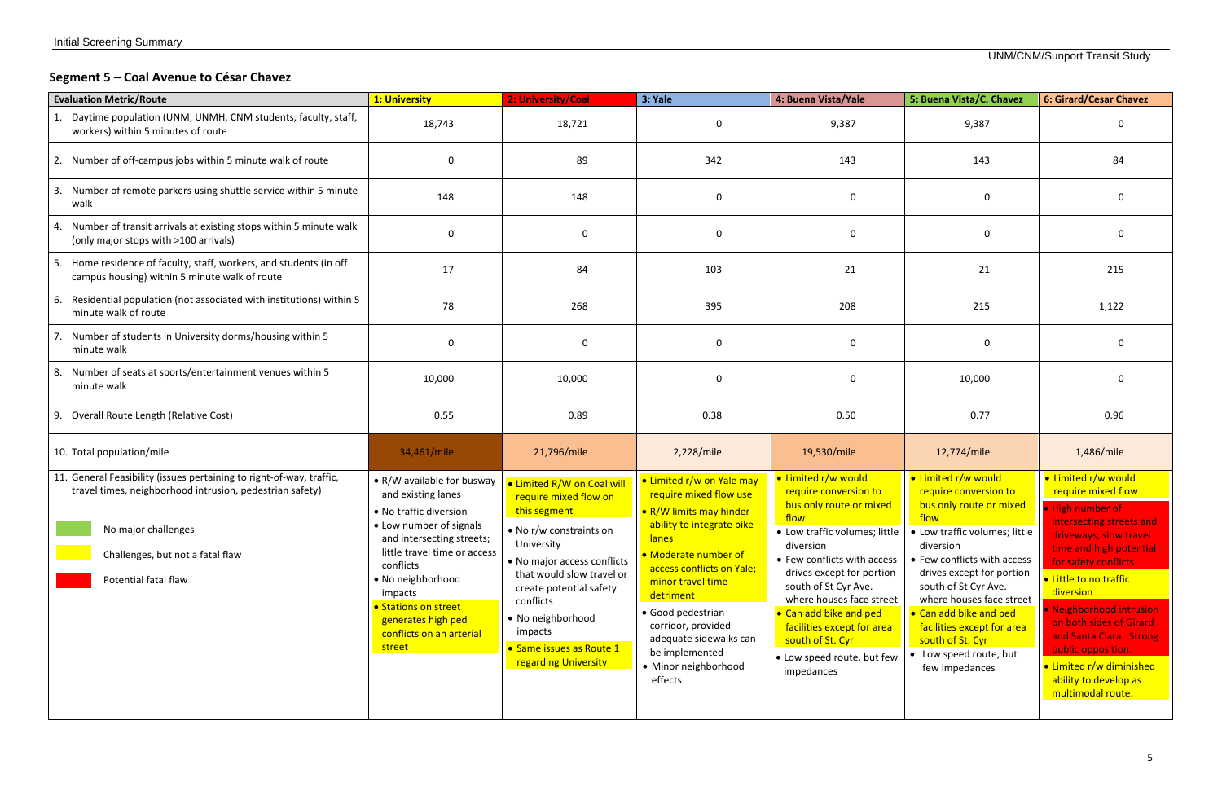# **Segment 5 – Coal Avenue to César Chavez**

| <b>Evaluation Metric/Route</b>                                                                                                                                                                                      | 1: University                                                                                                                                                                                                                                                                                       | 2: University/Coal                                                                                                                                                                                                                                                                                   | 3: Yale                                                                                                                                                                                                                                                                                                                                      | 4: Buena Vista/Yale                                                                                                                                                                                                                                                                                                                                                   | 5: Buena Vista/C. Chavez                                                                                                                                                                                                                                                                                                                                              | <b>6: Girard/Cesar Chavez</b>                                                                                                                                                                                                                                                                                                                                                                   |  |
|---------------------------------------------------------------------------------------------------------------------------------------------------------------------------------------------------------------------|-----------------------------------------------------------------------------------------------------------------------------------------------------------------------------------------------------------------------------------------------------------------------------------------------------|------------------------------------------------------------------------------------------------------------------------------------------------------------------------------------------------------------------------------------------------------------------------------------------------------|----------------------------------------------------------------------------------------------------------------------------------------------------------------------------------------------------------------------------------------------------------------------------------------------------------------------------------------------|-----------------------------------------------------------------------------------------------------------------------------------------------------------------------------------------------------------------------------------------------------------------------------------------------------------------------------------------------------------------------|-----------------------------------------------------------------------------------------------------------------------------------------------------------------------------------------------------------------------------------------------------------------------------------------------------------------------------------------------------------------------|-------------------------------------------------------------------------------------------------------------------------------------------------------------------------------------------------------------------------------------------------------------------------------------------------------------------------------------------------------------------------------------------------|--|
| 1. Daytime population (UNM, UNMH, CNM students, faculty, staff,<br>workers) within 5 minutes of route                                                                                                               | 18,743                                                                                                                                                                                                                                                                                              | 18,721                                                                                                                                                                                                                                                                                               | $\Omega$                                                                                                                                                                                                                                                                                                                                     | 9,387                                                                                                                                                                                                                                                                                                                                                                 | 9,387                                                                                                                                                                                                                                                                                                                                                                 |                                                                                                                                                                                                                                                                                                                                                                                                 |  |
| 2. Number of off-campus jobs within 5 minute walk of route                                                                                                                                                          | 0                                                                                                                                                                                                                                                                                                   | 89                                                                                                                                                                                                                                                                                                   | 342                                                                                                                                                                                                                                                                                                                                          | 143                                                                                                                                                                                                                                                                                                                                                                   |                                                                                                                                                                                                                                                                                                                                                                       | 84                                                                                                                                                                                                                                                                                                                                                                                              |  |
| 3. Number of remote parkers using shuttle service within 5 minute<br>walk                                                                                                                                           | 148                                                                                                                                                                                                                                                                                                 | 148                                                                                                                                                                                                                                                                                                  | $\mathbf 0$                                                                                                                                                                                                                                                                                                                                  | 0                                                                                                                                                                                                                                                                                                                                                                     | 0                                                                                                                                                                                                                                                                                                                                                                     | <sup>0</sup>                                                                                                                                                                                                                                                                                                                                                                                    |  |
| 4. Number of transit arrivals at existing stops within 5 minute walk<br>(only major stops with >100 arrivals)                                                                                                       | $\Omega$                                                                                                                                                                                                                                                                                            | $\mathbf 0$                                                                                                                                                                                                                                                                                          | $\mathbf 0$                                                                                                                                                                                                                                                                                                                                  | $\mathbf 0$                                                                                                                                                                                                                                                                                                                                                           | $\mathbf 0$                                                                                                                                                                                                                                                                                                                                                           | $\Omega$                                                                                                                                                                                                                                                                                                                                                                                        |  |
| 5. Home residence of faculty, staff, workers, and students (in off<br>campus housing) within 5 minute walk of route                                                                                                 | 17                                                                                                                                                                                                                                                                                                  | 84                                                                                                                                                                                                                                                                                                   | 103                                                                                                                                                                                                                                                                                                                                          | 21                                                                                                                                                                                                                                                                                                                                                                    | 21                                                                                                                                                                                                                                                                                                                                                                    | 215                                                                                                                                                                                                                                                                                                                                                                                             |  |
| 6. Residential population (not associated with institutions) within 5<br>minute walk of route                                                                                                                       | 78                                                                                                                                                                                                                                                                                                  | 268                                                                                                                                                                                                                                                                                                  | 395                                                                                                                                                                                                                                                                                                                                          | 208                                                                                                                                                                                                                                                                                                                                                                   | 215                                                                                                                                                                                                                                                                                                                                                                   | 1,122                                                                                                                                                                                                                                                                                                                                                                                           |  |
| Number of students in University dorms/housing within 5<br>minute walk                                                                                                                                              | $\Omega$                                                                                                                                                                                                                                                                                            | 0                                                                                                                                                                                                                                                                                                    | $\mathbf 0$                                                                                                                                                                                                                                                                                                                                  | $\mathbf 0$                                                                                                                                                                                                                                                                                                                                                           |                                                                                                                                                                                                                                                                                                                                                                       | $\Omega$                                                                                                                                                                                                                                                                                                                                                                                        |  |
| Number of seats at sports/entertainment venues within 5<br>8.<br>minute walk                                                                                                                                        | 10,000                                                                                                                                                                                                                                                                                              | 10,000                                                                                                                                                                                                                                                                                               | $\mathbf 0$                                                                                                                                                                                                                                                                                                                                  | 0                                                                                                                                                                                                                                                                                                                                                                     | 10,000                                                                                                                                                                                                                                                                                                                                                                | 0                                                                                                                                                                                                                                                                                                                                                                                               |  |
| 9. Overall Route Length (Relative Cost)                                                                                                                                                                             | 0.55                                                                                                                                                                                                                                                                                                | 0.89                                                                                                                                                                                                                                                                                                 | 0.38                                                                                                                                                                                                                                                                                                                                         | 0.50                                                                                                                                                                                                                                                                                                                                                                  | 0.77                                                                                                                                                                                                                                                                                                                                                                  | 0.96                                                                                                                                                                                                                                                                                                                                                                                            |  |
| 10. Total population/mile                                                                                                                                                                                           | 34,461/mile                                                                                                                                                                                                                                                                                         | 21,796/mile                                                                                                                                                                                                                                                                                          | 2,228/mile                                                                                                                                                                                                                                                                                                                                   | 19,530/mile                                                                                                                                                                                                                                                                                                                                                           | 12,774/mile                                                                                                                                                                                                                                                                                                                                                           | 1,486/mile                                                                                                                                                                                                                                                                                                                                                                                      |  |
| 11. General Feasibility (issues pertaining to right-of-way, traffic,<br>travel times, neighborhood intrusion, pedestrian safety)<br>No major challenges<br>Challenges, but not a fatal flaw<br>Potential fatal flaw | • R/W available for busway<br>and existing lanes<br>• No traffic diversion<br>• Low number of signals<br>and intersecting streets;<br>little travel time or access<br>conflicts<br>• No neighborhood<br>impacts<br>• Stations on street<br>generates high ped<br>conflicts on an arterial<br>street | • Limited R/W on Coal will<br>require mixed flow on<br>this segment<br>• No r/w constraints on<br>University<br>• No major access conflicts<br>that would slow travel or<br>create potential safety<br>conflicts<br>• No neighborhood<br>impacts<br>• Same issues as Route 1<br>regarding University | • Limited r/w on Yale may<br>require mixed flow use<br>• R/W limits may hinder<br>ability to integrate bike<br><b>lanes</b><br>• Moderate number of<br>access conflicts on Yale;<br>minor travel time<br>detriment<br>• Good pedestrian<br>corridor, provided<br>adequate sidewalks can<br>be implemented<br>• Minor neighborhood<br>effects | • Limited r/w would<br>require conversion to<br>bus only route or mixed<br>flow<br>• Low traffic volumes; little<br>diversion<br>• Few conflicts with access<br>drives except for portion<br>south of St Cyr Ave.<br>where houses face street<br>• Can add bike and ped<br>facilities except for area<br>south of St. Cyr<br>• Low speed route, but few<br>impedances | · Limited r/w would<br>require conversion to<br>bus only route or mixed<br>flow<br>• Low traffic volumes; little<br>diversion<br>• Few conflicts with access<br>drives except for portion<br>south of St Cyr Ave.<br>where houses face street<br>• Can add bike and ped<br>facilities except for area<br>south of St. Cyr<br>• Low speed route, but<br>few impedances | • Limited r/w would<br>require mixed flow<br>. High number of<br>intersecting streets and<br>driveways; slow travel<br>time and high potential<br>for safety conflicts<br>• Little to no traffic<br>diversion<br>· Neighborhood intrusion<br>on both sides of Girard<br>and Santa Clara. Strong<br>public opposition.<br>• Limited r/w diminished<br>ability to develop as<br>multimodal route. |  |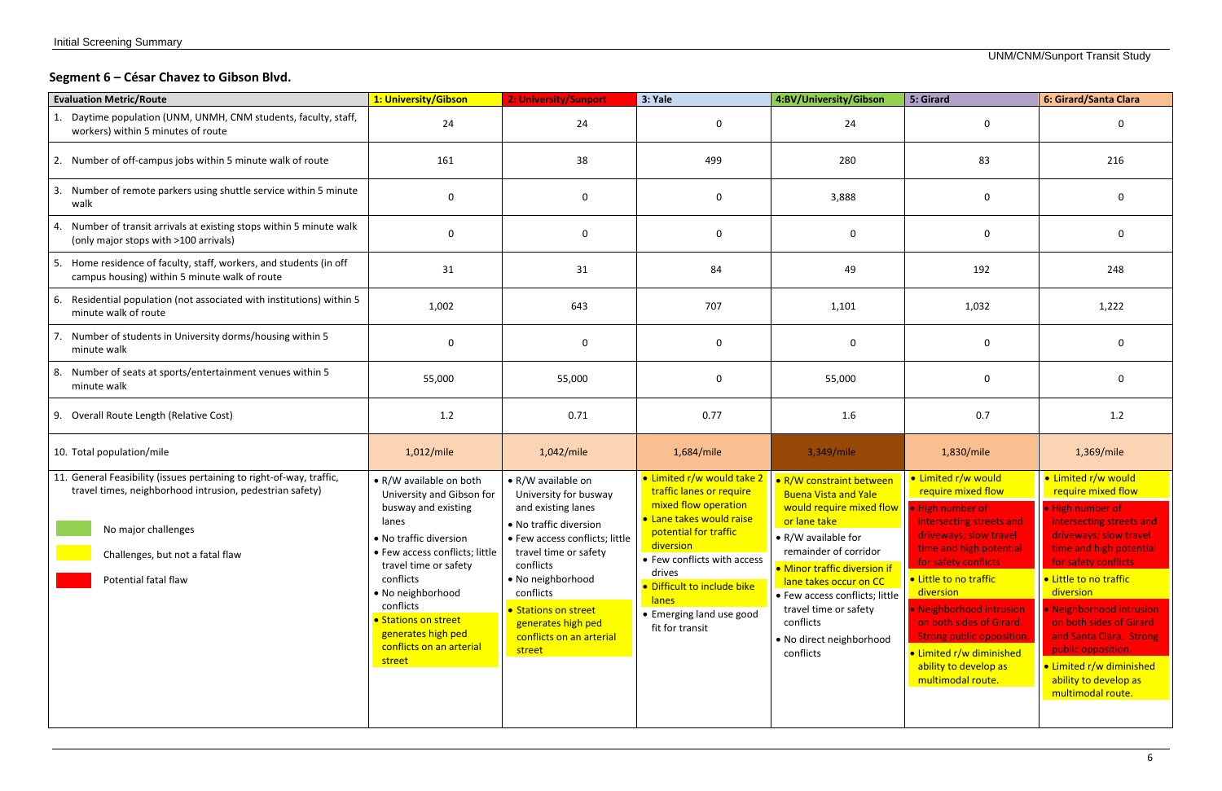# **Segment 6 – César Chavez to Gibson Blvd.**

| 1: University/Gibson                                                                                                                                                                                                                                                                                         | 2: University/Sunport                                                                                                                                                                                                                                                                     | 3: Yale                                                                                                                                                                                                                                                   | 4:BV/University/Gibson                                                                                                                                                                                                                                                                             | 5: Girard                                                                                                                                                                                                                                                                                                                                                       |                                                                                                                                                                                                                                                                                                                                                                                                 |
|--------------------------------------------------------------------------------------------------------------------------------------------------------------------------------------------------------------------------------------------------------------------------------------------------------------|-------------------------------------------------------------------------------------------------------------------------------------------------------------------------------------------------------------------------------------------------------------------------------------------|-----------------------------------------------------------------------------------------------------------------------------------------------------------------------------------------------------------------------------------------------------------|----------------------------------------------------------------------------------------------------------------------------------------------------------------------------------------------------------------------------------------------------------------------------------------------------|-----------------------------------------------------------------------------------------------------------------------------------------------------------------------------------------------------------------------------------------------------------------------------------------------------------------------------------------------------------------|-------------------------------------------------------------------------------------------------------------------------------------------------------------------------------------------------------------------------------------------------------------------------------------------------------------------------------------------------------------------------------------------------|
| 24                                                                                                                                                                                                                                                                                                           | 24                                                                                                                                                                                                                                                                                        | -0                                                                                                                                                                                                                                                        | 24                                                                                                                                                                                                                                                                                                 | 0                                                                                                                                                                                                                                                                                                                                                               |                                                                                                                                                                                                                                                                                                                                                                                                 |
| 161                                                                                                                                                                                                                                                                                                          | 38                                                                                                                                                                                                                                                                                        | 499                                                                                                                                                                                                                                                       | 280                                                                                                                                                                                                                                                                                                | 83                                                                                                                                                                                                                                                                                                                                                              | 216                                                                                                                                                                                                                                                                                                                                                                                             |
| $\Omega$                                                                                                                                                                                                                                                                                                     | $\mathbf 0$                                                                                                                                                                                                                                                                               | $\mathbf 0$                                                                                                                                                                                                                                               | 3,888                                                                                                                                                                                                                                                                                              | 0                                                                                                                                                                                                                                                                                                                                                               |                                                                                                                                                                                                                                                                                                                                                                                                 |
| $\Omega$                                                                                                                                                                                                                                                                                                     | $\mathbf 0$                                                                                                                                                                                                                                                                               | $\mathbf 0$                                                                                                                                                                                                                                               | $\mathbf 0$                                                                                                                                                                                                                                                                                        | 0                                                                                                                                                                                                                                                                                                                                                               | 0                                                                                                                                                                                                                                                                                                                                                                                               |
| 31                                                                                                                                                                                                                                                                                                           | 31                                                                                                                                                                                                                                                                                        | 84                                                                                                                                                                                                                                                        | 49                                                                                                                                                                                                                                                                                                 | 192                                                                                                                                                                                                                                                                                                                                                             | 248                                                                                                                                                                                                                                                                                                                                                                                             |
| 1,002                                                                                                                                                                                                                                                                                                        | 643                                                                                                                                                                                                                                                                                       | 707                                                                                                                                                                                                                                                       | 1,101                                                                                                                                                                                                                                                                                              | 1,032                                                                                                                                                                                                                                                                                                                                                           | 1,222                                                                                                                                                                                                                                                                                                                                                                                           |
| $\Omega$                                                                                                                                                                                                                                                                                                     | $\mathbf 0$                                                                                                                                                                                                                                                                               | $\mathbf 0$                                                                                                                                                                                                                                               | 0                                                                                                                                                                                                                                                                                                  | $\mathbf 0$                                                                                                                                                                                                                                                                                                                                                     | $\Omega$                                                                                                                                                                                                                                                                                                                                                                                        |
| 55,000                                                                                                                                                                                                                                                                                                       | 55,000                                                                                                                                                                                                                                                                                    | $\mathbf 0$                                                                                                                                                                                                                                               | 55,000                                                                                                                                                                                                                                                                                             | $\mathbf 0$                                                                                                                                                                                                                                                                                                                                                     | <sup>0</sup>                                                                                                                                                                                                                                                                                                                                                                                    |
| 1.2                                                                                                                                                                                                                                                                                                          | 0.71                                                                                                                                                                                                                                                                                      | 0.77                                                                                                                                                                                                                                                      | 1.6                                                                                                                                                                                                                                                                                                | 0.7                                                                                                                                                                                                                                                                                                                                                             | 1.2                                                                                                                                                                                                                                                                                                                                                                                             |
| 1,012/mile                                                                                                                                                                                                                                                                                                   | 1,042/mile                                                                                                                                                                                                                                                                                | 1,684/mile                                                                                                                                                                                                                                                | 3,349/mile                                                                                                                                                                                                                                                                                         | 1,830/mile                                                                                                                                                                                                                                                                                                                                                      | 1,369/mile                                                                                                                                                                                                                                                                                                                                                                                      |
| • R/W available on both<br>University and Gibson for<br>busway and existing<br>lanes<br>· No traffic diversion<br>• Few access conflicts; little<br>travel time or safety<br>conflicts<br>• No neighborhood<br>conflicts<br>• Stations on street<br>generates high ped<br>conflicts on an arterial<br>street | • R/W available on<br>University for busway<br>and existing lanes<br>• No traffic diversion<br>• Few access conflicts; little<br>travel time or safety<br>conflicts<br>• No neighborhood<br>conflicts<br>• Stations on street<br>generates high ped<br>conflicts on an arterial<br>street | traffic lanes or require<br>mixed flow operation<br>• Lane takes would raise<br>potential for traffic<br>diversion<br>• Few conflicts with access<br>drives<br>· Difficult to include bike<br><b>lanes</b><br>• Emerging land use good<br>fit for transit | • R/W constraint between<br><b>Buena Vista and Yale</b><br>or lane take<br>• R/W available for<br>remainder of corridor<br>• Minor traffic diversion if<br>lane takes occur on CC<br>• Few access conflicts; little<br>travel time or safety<br>conflicts<br>• No direct neighborhood<br>conflicts | · Limited r/w would<br>require mixed flow<br>intersecting streets and<br>driveways; slow travel<br>time and high potential<br>for safety conflicts<br>• Little to no traffic<br>diversion<br>· Neighborhood intrusion<br>on both sides of Girard.<br><b>Strong public opposition.</b><br>• Limited r/w diminished<br>ability to develop as<br>multimodal route. | • Limited r/w would<br>require mixed flow<br>. High number of<br>intersecting streets and<br>driveways; slow travel<br>time and high potential<br>for safety conflicts<br>• Little to no traffic<br>diversion<br>· Neighborhood intrusion<br>on both sides of Girard<br>and Santa Clara. Strong<br>public opposition.<br>• Limited r/w diminished<br>ability to develop as<br>multimodal route. |
|                                                                                                                                                                                                                                                                                                              |                                                                                                                                                                                                                                                                                           |                                                                                                                                                                                                                                                           |                                                                                                                                                                                                                                                                                                    | • Limited r/w would take 2                                                                                                                                                                                                                                                                                                                                      | would require mixed flow $\vert \cdot \vert$ High number of                                                                                                                                                                                                                                                                                                                                     |